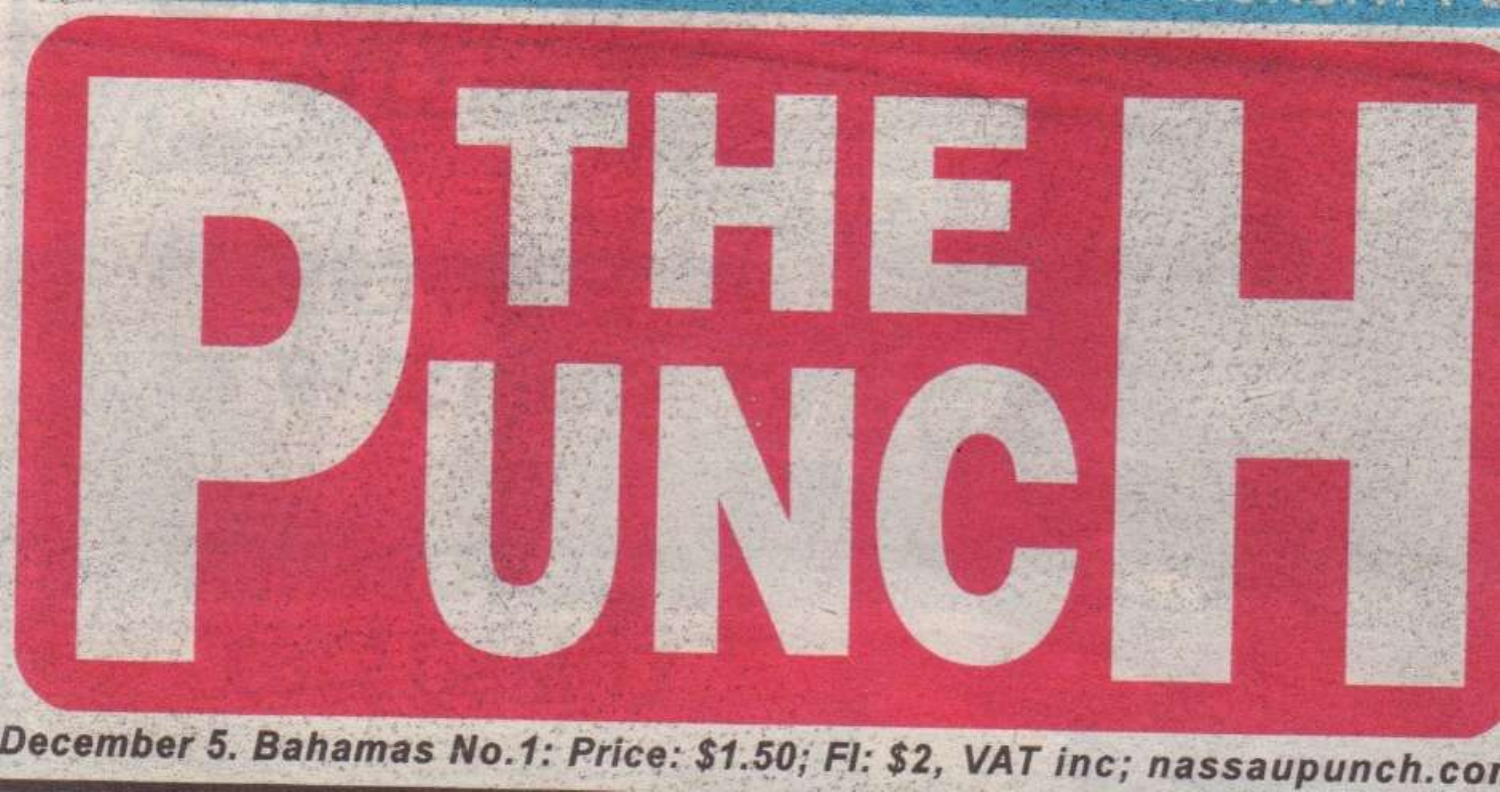